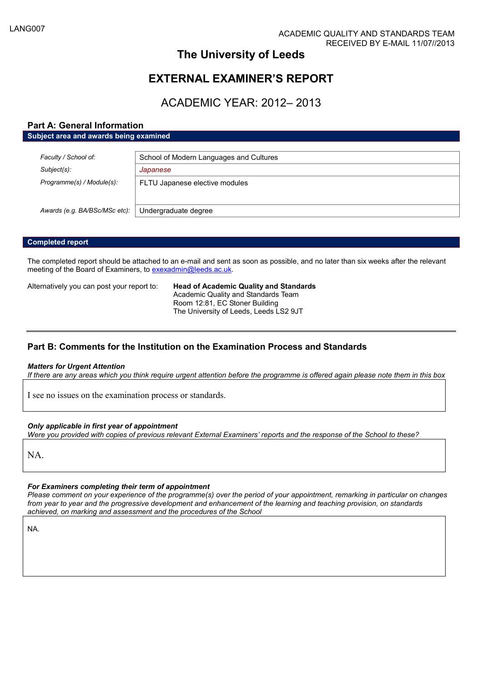## **The University of Leeds**

## **EXTERNAL EXAMINER'S REPORT**

## ACADEMIC YEAR: 2012– 2013

### **Part A: General Information**

| Subject area and awards being examined |                                         |  |  |
|----------------------------------------|-----------------------------------------|--|--|
|                                        |                                         |  |  |
| Faculty / School of:                   | School of Modern Languages and Cultures |  |  |
| Subject(s):                            | Japanese                                |  |  |
| Programme(s) / Module(s):              | FLTU Japanese elective modules          |  |  |
|                                        |                                         |  |  |
| Awards (e.g. BA/BSc/MSc etc):          | Undergraduate degree                    |  |  |

#### **Completed report**

The completed report should be attached to an e-mail and sent as soon as possible, and no later than six weeks after the relevant meeting of the Board of Examiners, to [exexadmin@leeds.ac.uk.](mailto:exexadmin@leeds.ac.uk)

Alternatively you can post your report to: **Head of Academic Quality and Standards** Academic Quality and Standards Team Room 12:81, EC Stoner Building The University of Leeds, Leeds LS2 9JT

### **Part B: Comments for the Institution on the Examination Process and Standards**

#### *Matters for Urgent Attention*

*If there are any areas which you think require urgent attention before the programme is offered again please note them in this box*

I see no issues on the examination process or standards.

#### *Only applicable in first year of appointment*

*Were you provided with copies of previous relevant External Examiners' reports and the response of the School to these?*

NA.

#### *For Examiners completing their term of appointment*

*Please comment on your experience of the programme(s) over the period of your appointment, remarking in particular on changes from year to year and the progressive development and enhancement of the learning and teaching provision, on standards achieved, on marking and assessment and the procedures of the School*

NA.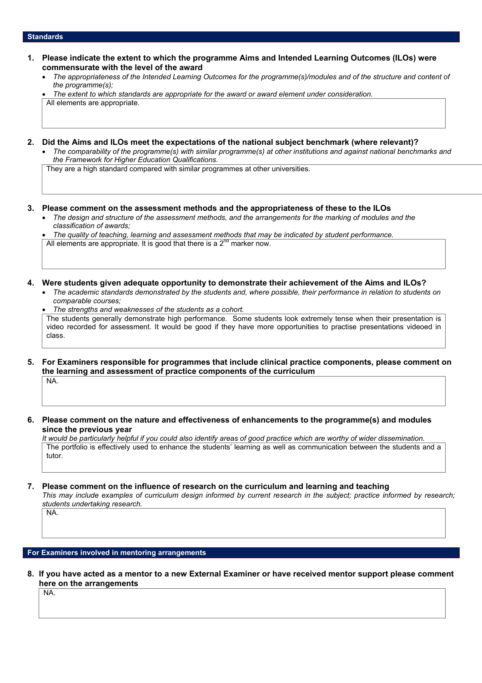#### **Standards**

- **1. Please indicate the extent to which the programme Aims and Intended Learning Outcomes (ILOs) were commensurate with the level of the award**
	- *The appropriateness of the Intended Learning Outcomes for the programme(s)/modules and of the structure and content of the programme(s);*

 *The extent to which standards are appropriate for the award or award element under consideration.* All elements are appropriate.

- **2. Did the Aims and ILOs meet the expectations of the national subject benchmark (where relevant)?**
	- *The comparability of the programme(s) with similar programme(s) at other institutions and against national benchmarks and the Framework for Higher Education Qualifications.*

They are a high standard compared with similar programmes at other universities.

- **3. Please comment on the assessment methods and the appropriateness of these to the ILOs**
	- *The design and structure of the assessment methods, and the arrangements for the marking of modules and the classification of awards;*

 *The quality of teaching, learning and assessment methods that may be indicated by student performance.* All elements are appropriate. It is good that there is a  $2^{nd}$  marker now.

**4. Were students given adequate opportunity to demonstrate their achievement of the Aims and ILOs?**

- *The academic standards demonstrated by the students and, where possible, their performance in relation to students on comparable courses;*
- *The strengths and weaknesses of the students as a cohort.* The students generally demonstrate high performance. Some students look extremely tense when their presentation is video recorded for assessment. It would be good if they have more opportunities to practise presentations videoed in class.
- **5. For Examiners responsible for programmes that include clinical practice components, please comment on the learning and assessment of practice components of the curriculum** NA.
- **6. Please comment on the nature and effectiveness of enhancements to the programme(s) and modules since the previous year**

*It would be particularly helpful if you could also identify areas of good practice which are worthy of wider dissemination.* The portfolio is effectively used to enhance the students' learning as well as communication between the students and a tutor.

## **7. Please comment on the influence of research on the curriculum and learning and teaching**

*This may include examples of curriculum design informed by current research in the subject; practice informed by research; students undertaking research.* NA.

**For Examiners involved in mentoring arrangements**

**8. If you have acted as a mentor to a new External Examiner or have received mentor support please comment here on the arrangements**

NA.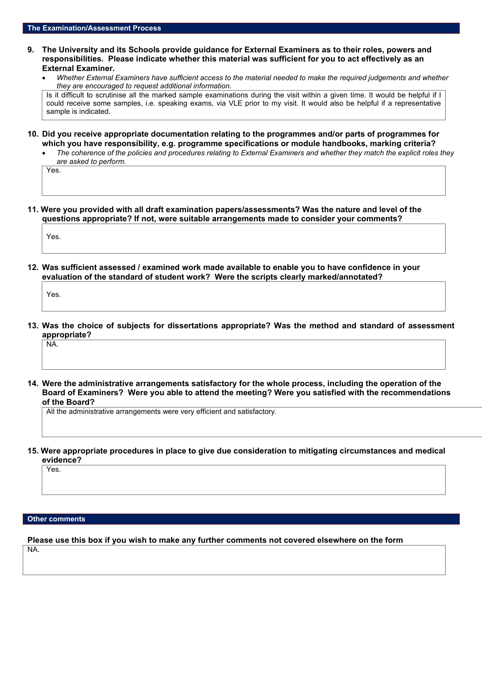- **9. The University and its Schools provide guidance for External Examiners as to their roles, powers and responsibilities. Please indicate whether this material was sufficient for you to act effectively as an External Examiner.**
	- *Whether External Examiners have sufficient access to the material needed to make the required judgements and whether they are encouraged to request additional information.*

Is it difficult to scrutinise all the marked sample examinations during the visit within a given time. It would be helpful if I could receive some samples, i.e. speaking exams, via VLE prior to my visit. It would also be helpful if a representative sample is indicated.

- **10. Did you receive appropriate documentation relating to the programmes and/or parts of programmes for which you have responsibility, e.g. programme specifications or module handbooks, marking criteria?**
	- *The coherence of the policies and procedures relating to External Examiners and whether they match the explicit roles they are asked to perform.*

Yes.

**11. Were you provided with all draft examination papers/assessments? Was the nature and level of the questions appropriate? If not, were suitable arrangements made to consider your comments?**

Yes.

**12. Was sufficient assessed / examined work made available to enable you to have confidence in your evaluation of the standard of student work? Were the scripts clearly marked/annotated?**

Yes.

NA.

- **13. Was the choice of subjects for dissertations appropriate? Was the method and standard of assessment appropriate?**
- **14. Were the administrative arrangements satisfactory for the whole process, including the operation of the Board of Examiners? Were you able to attend the meeting? Were you satisfied with the recommendations of the Board?**

All the administrative arrangements were very efficient and satisfactory.

**15. Were appropriate procedures in place to give due consideration to mitigating circumstances and medical evidence?**

Yes.

#### **Other comments**

**Please use this box if you wish to make any further comments not covered elsewhere on the form** NA.